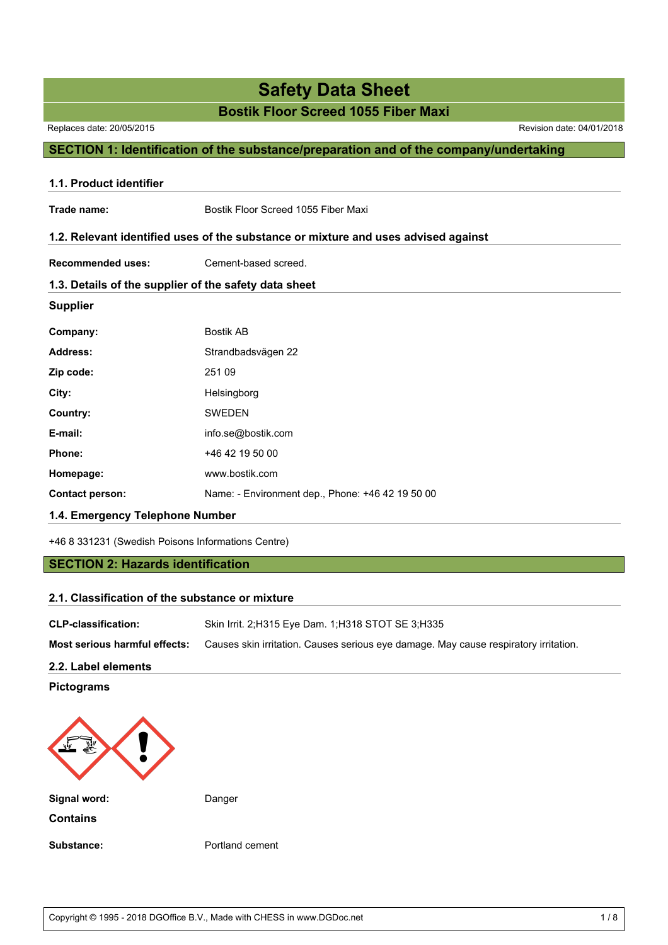# **Safety Data Sheet**

### **Bostik Floor Screed 1055 Fiber Maxi**

Replaces date: 20/05/2015 Revision date: 04/01/2018

### **SECTION 1: Identification of the substance/preparation and of the company/undertaking**

| 1.1. Product identifier         |                                                                                    |  |
|---------------------------------|------------------------------------------------------------------------------------|--|
| Trade name:                     | Bostik Floor Screed 1055 Fiber Maxi                                                |  |
|                                 | 1.2. Relevant identified uses of the substance or mixture and uses advised against |  |
| <b>Recommended uses:</b>        | Cement-based screed.                                                               |  |
|                                 | 1.3. Details of the supplier of the safety data sheet                              |  |
| <b>Supplier</b>                 |                                                                                    |  |
| Company:                        | <b>Bostik AB</b>                                                                   |  |
| <b>Address:</b>                 | Strandbadsvägen 22                                                                 |  |
| Zip code:                       | 251 09                                                                             |  |
| City:                           | Helsingborg                                                                        |  |
| Country:                        | <b>SWEDEN</b>                                                                      |  |
| E-mail:                         | info.se@bostik.com                                                                 |  |
| Phone:                          | +46 42 19 50 00                                                                    |  |
| Homepage:                       | www.bostik.com                                                                     |  |
| <b>Contact person:</b>          | Name: - Environment dep., Phone: +46 42 19 50 00                                   |  |
| 1.4. Emergency Telephone Number |                                                                                    |  |

+46 8 331231 (Swedish Poisons Informations Centre)

### **SECTION 2: Hazards identification**

### **2.1. Classification of the substance or mixture**

| <b>CLP-classification:</b>    | Skin Irrit. 2;H315 Eye Dam. 1;H318 STOT SE 3;H335                                    |
|-------------------------------|--------------------------------------------------------------------------------------|
| Most serious harmful effects: | Causes skin irritation. Causes serious eye damage. May cause respiratory irritation. |

### **2.2. Label elements**

**Pictograms**

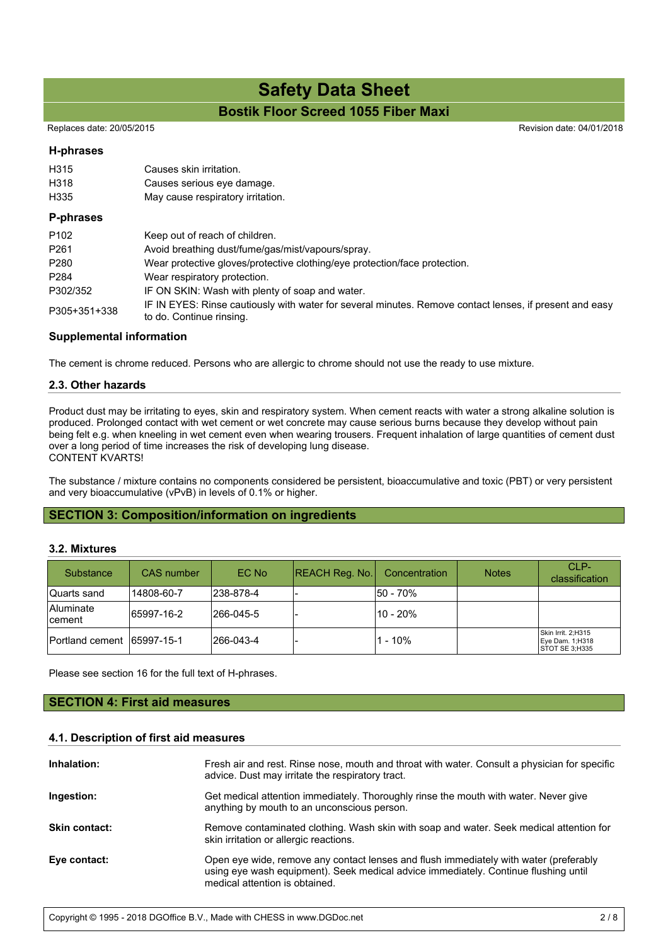Replaces date: 20/05/2015 **Replaces** date: 04/01/2018

### **H-phrases**

| H315<br>H318<br>H335 | Causes skin irritation.<br>Causes serious eye damage.<br>May cause respiratory irritation.                                          |
|----------------------|-------------------------------------------------------------------------------------------------------------------------------------|
| <b>P-phrases</b>     |                                                                                                                                     |
| P <sub>102</sub>     | Keep out of reach of children.                                                                                                      |
| P <sub>261</sub>     | Avoid breathing dust/fume/gas/mist/vapours/spray.                                                                                   |
| P <sub>280</sub>     | Wear protective gloves/protective clothing/eye protection/face protection.                                                          |
| P <sub>284</sub>     | Wear respiratory protection.                                                                                                        |
| P302/352             | IF ON SKIN: Wash with plenty of soap and water.                                                                                     |
| P305+351+338         | IF IN EYES: Rinse cautiously with water for several minutes. Remove contact lenses, if present and easy<br>to do. Continue rinsing. |

### **Supplemental information**

The cement is chrome reduced. Persons who are allergic to chrome should not use the ready to use mixture.

### **2.3. Other hazards**

Product dust may be irritating to eyes, skin and respiratory system. When cement reacts with water a strong alkaline solution is produced. Prolonged contact with wet cement or wet concrete may cause serious burns because they develop without pain being felt e.g. when kneeling in wet cement even when wearing trousers. Frequent inhalation of large quantities of cement dust over a long period of time increases the risk of developing lung disease. CONTENT KVARTS!

The substance / mixture contains no components considered be persistent, bioaccumulative and toxic (PBT) or very persistent and very bioaccumulative (vPvB) in levels of 0.1% or higher.

### **SECTION 3: Composition/information on ingredients**

### **3.2. Mixtures**

| Substance                   | CAS number | EC No      | REACH Reg. No. | Concentration | <b>Notes</b> | $CI$ P-<br>classification                                       |
|-----------------------------|------------|------------|----------------|---------------|--------------|-----------------------------------------------------------------|
| Quarts sand                 | 14808-60-7 | 238-878-4  |                | 50 - 70%      |              |                                                                 |
| <b>Aluminate</b><br>cement  | 65997-16-2 | l266-045-5 |                | l10 - 20%     |              |                                                                 |
| Portland cement 165997-15-1 |            | 266-043-4  |                | $1 - 10%$     |              | Skin Irrit. 2:H315<br>Eye Dam. 1;H318<br><b>ISTOT SE 3:H335</b> |

Please see section 16 for the full text of H-phrases.

### **SECTION 4: First aid measures**

#### **4.1. Description of first aid measures**

| Inhalation:          | Fresh air and rest. Rinse nose, mouth and throat with water. Consult a physician for specific<br>advice. Dust may irritate the respiratory tract.                                                              |
|----------------------|----------------------------------------------------------------------------------------------------------------------------------------------------------------------------------------------------------------|
| Ingestion:           | Get medical attention immediately. Thoroughly rinse the mouth with water. Never give<br>anything by mouth to an unconscious person.                                                                            |
| <b>Skin contact:</b> | Remove contaminated clothing. Wash skin with soap and water. Seek medical attention for<br>skin irritation or allergic reactions.                                                                              |
| Eye contact:         | Open eye wide, remove any contact lenses and flush immediately with water (preferably<br>using eye wash equipment). Seek medical advice immediately. Continue flushing until<br>medical attention is obtained. |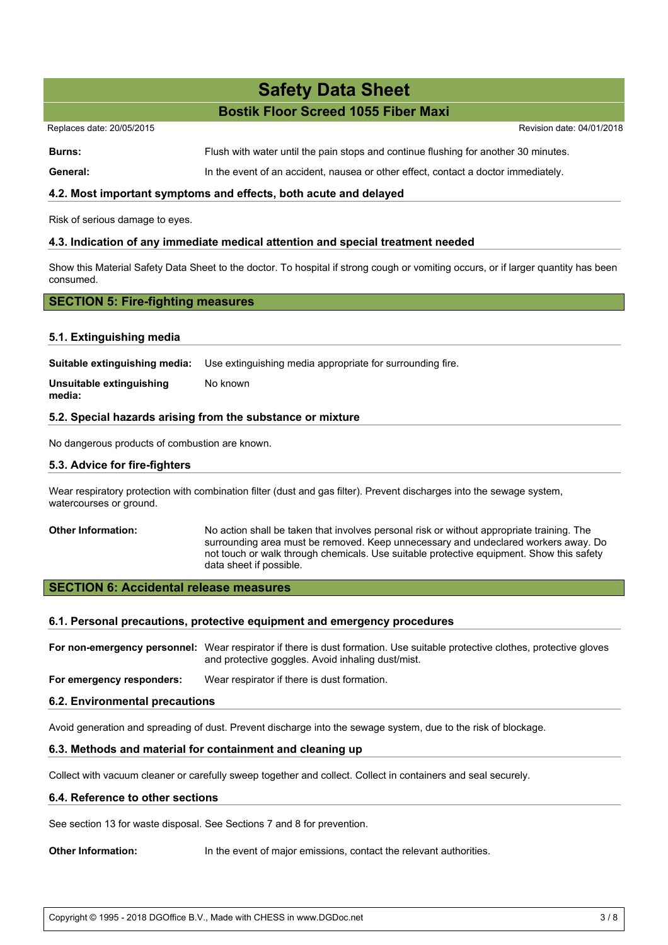| Replaces date: 20/05/2015 |                                                                                     | Revision date: 04/01/2018 |
|---------------------------|-------------------------------------------------------------------------------------|---------------------------|
| Burns:                    | Flush with water until the pain stops and continue flushing for another 30 minutes. |                           |

General: In the event of an accident, nausea or other effect, contact a doctor immediately.

### **4.2. Most important symptoms and effects, both acute and delayed**

Risk of serious damage to eyes.

### **4.3. Indication of any immediate medical attention and special treatment needed**

Show this Material Safety Data Sheet to the doctor. To hospital if strong cough or vomiting occurs, or if larger quantity has been consumed.

### **SECTION 5: Fire-fighting measures**

### **5.1. Extinguishing media**

**Suitable extinguishing media:** Use extinguishing media appropriate for surrounding fire.

**Unsuitable extinguishing media:** No known

### **5.2. Special hazards arising from the substance or mixture**

No dangerous products of combustion are known.

### **5.3. Advice for fire-fighters**

Wear respiratory protection with combination filter (dust and gas filter). Prevent discharges into the sewage system, watercourses or ground.

**Other Information:** No action shall be taken that involves personal risk or without appropriate training. The surrounding area must be removed. Keep unnecessary and undeclared workers away. Do not touch or walk through chemicals. Use suitable protective equipment. Show this safety data sheet if possible.

### **SECTION 6: Accidental release measures**

### **6.1. Personal precautions, protective equipment and emergency procedures**

**For non-emergency personnel:** Wear respirator if there is dust formation. Use suitable protective clothes, protective gloves and protective goggles. Avoid inhaling dust/mist.

**For emergency responders:** Wear respirator if there is dust formation.

### **6.2. Environmental precautions**

Avoid generation and spreading of dust. Prevent discharge into the sewage system, due to the risk of blockage.

### **6.3. Methods and material for containment and cleaning up**

Collect with vacuum cleaner or carefully sweep together and collect. Collect in containers and seal securely.

#### **6.4. Reference to other sections**

See section 13 for waste disposal. See Sections 7 and 8 for prevention.

**Other Information:** In the event of major emissions, contact the relevant authorities.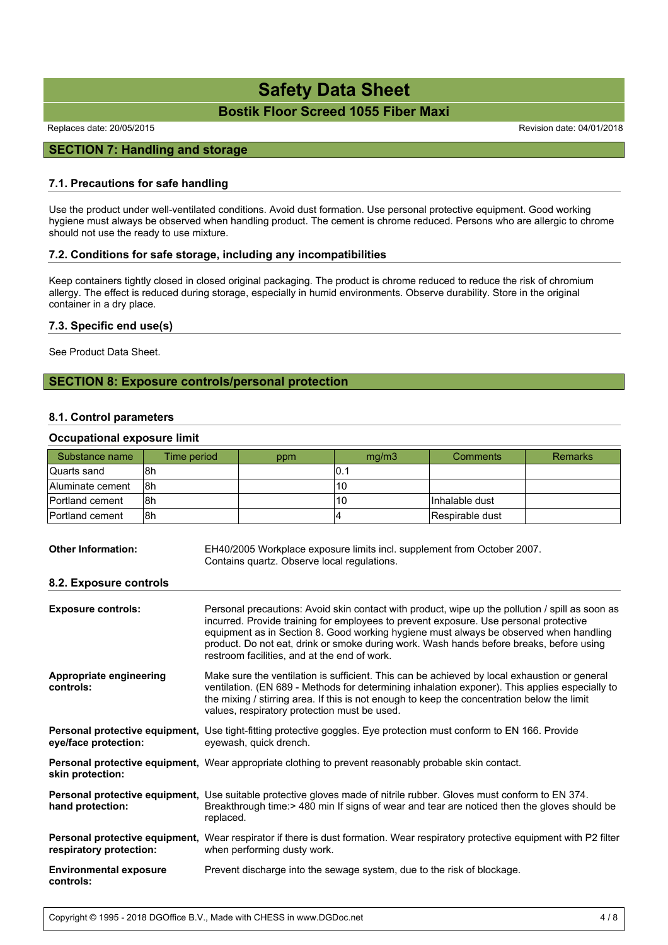Replaces date: 20/05/2015 **Replaces** date: 04/01/2018

### **SECTION 7: Handling and storage**

### **7.1. Precautions for safe handling**

Use the product under well-ventilated conditions. Avoid dust formation. Use personal protective equipment. Good working hygiene must always be observed when handling product. The cement is chrome reduced. Persons who are allergic to chrome should not use the ready to use mixture.

#### **7.2. Conditions for safe storage, including any incompatibilities**

Keep containers tightly closed in closed original packaging. The product is chrome reduced to reduce the risk of chromium allergy. The effect is reduced during storage, especially in humid environments. Observe durability. Store in the original container in a dry place.

### **7.3. Specific end use(s)**

See Product Data Sheet.

### **SECTION 8: Exposure controls/personal protection**

### **8.1. Control parameters**

### **Occupational exposure limit**

| Substance name   | Time period | ppm | mq/m3 | Comments        | Remarks |
|------------------|-------------|-----|-------|-----------------|---------|
| lQuarts sand     | l8h         |     | IO.1  |                 |         |
| Aluminate cement | 18h         |     | 10    |                 |         |
| Portland cement  | 18h         |     | 10    | Inhalable dust  |         |
| Portland cement  | l8h         |     |       | Respirable dust |         |

| <b>Other Information:</b> | EH40/2005 Workplace exposure limits incl. supplement from October 2007. |
|---------------------------|-------------------------------------------------------------------------|
|                           | Contains quartz. Observe local regulations.                             |

#### **8.2. Exposure controls**

| <b>Exposure controls:</b>                  | Personal precautions: Avoid skin contact with product, wipe up the pollution / spill as soon as<br>incurred. Provide training for employees to prevent exposure. Use personal protective<br>equipment as in Section 8. Good working hygiene must always be observed when handling<br>product. Do not eat, drink or smoke during work. Wash hands before breaks, before using<br>restroom facilities, and at the end of work. |
|--------------------------------------------|------------------------------------------------------------------------------------------------------------------------------------------------------------------------------------------------------------------------------------------------------------------------------------------------------------------------------------------------------------------------------------------------------------------------------|
| Appropriate engineering<br>controls:       | Make sure the ventilation is sufficient. This can be achieved by local exhaustion or general<br>ventilation. (EN 689 - Methods for determining inhalation exponer). This applies especially to<br>the mixing / stirring area. If this is not enough to keep the concentration below the limit<br>values, respiratory protection must be used.                                                                                |
| eye/face protection:                       | Personal protective equipment, Use tight-fitting protective goggles. Eye protection must conform to EN 166. Provide<br>eyewash, quick drench.                                                                                                                                                                                                                                                                                |
| skin protection:                           | <b>Personal protective equipment,</b> Wear appropriate clothing to prevent reasonably probable skin contact.                                                                                                                                                                                                                                                                                                                 |
| hand protection:                           | <b>Personal protective equipment,</b> Use suitable protective gloves made of nitrile rubber. Gloves must conform to EN 374.<br>Breakthrough time: > 480 min If signs of wear and tear are noticed then the gloves should be<br>replaced.                                                                                                                                                                                     |
| respiratory protection:                    | <b>Personal protective equipment,</b> Wear respirator if there is dust formation. Wear respiratory protective equipment with P2 filter<br>when performing dusty work.                                                                                                                                                                                                                                                        |
| <b>Environmental exposure</b><br>controls: | Prevent discharge into the sewage system, due to the risk of blockage.                                                                                                                                                                                                                                                                                                                                                       |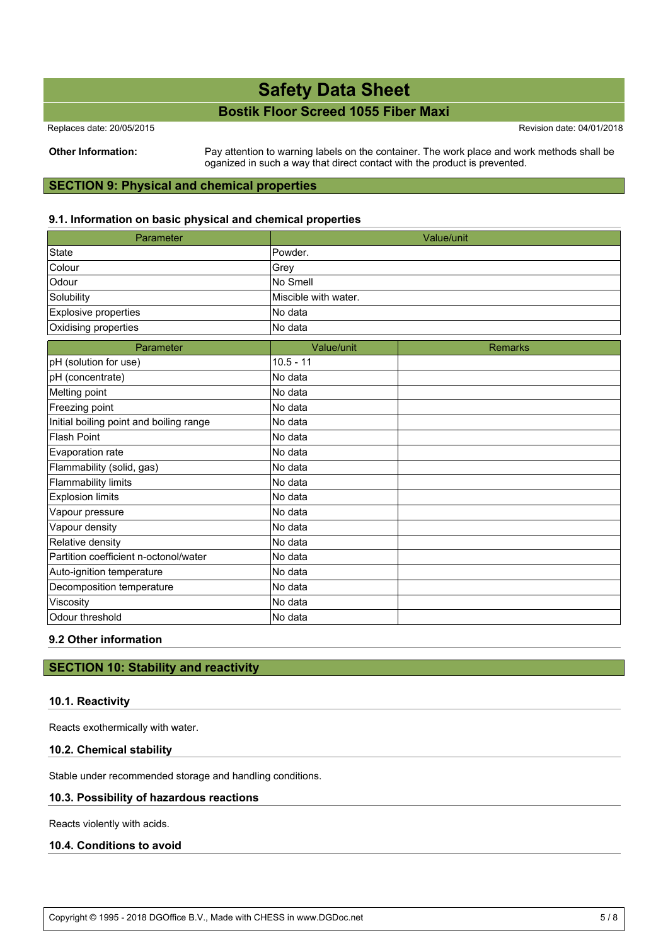Replaces date: 20/05/2015 Revision date: 04/01/2018

**Other Information:** Pay attention to warning labels on the container. The work place and work methods shall be oganized in such a way that direct contact with the product is prevented.

### **SECTION 9: Physical and chemical properties**

### **9.1. Information on basic physical and chemical properties**

| Parameter                               |                      | Value/unit     |
|-----------------------------------------|----------------------|----------------|
| State                                   | Powder.              |                |
| Colour                                  | Grey                 |                |
| Odour                                   | No Smell             |                |
| Solubility                              | Miscible with water. |                |
| Explosive properties                    | No data              |                |
| Oxidising properties                    | No data              |                |
| Parameter                               | Value/unit           | <b>Remarks</b> |
| pH (solution for use)                   | $10.5 - 11$          |                |
| pH (concentrate)                        | No data              |                |
| Melting point                           | No data              |                |
| Freezing point                          | No data              |                |
| Initial boiling point and boiling range | No data              |                |
| <b>Flash Point</b>                      | No data              |                |
| Evaporation rate                        | No data              |                |
| Flammability (solid, gas)               | No data              |                |
| <b>Flammability limits</b>              | No data              |                |
| <b>Explosion limits</b>                 | No data              |                |
| Vapour pressure                         | No data              |                |
| Vapour density                          | No data              |                |
| Relative density                        | No data              |                |
| Partition coefficient n-octonol/water   | No data              |                |
| Auto-ignition temperature               | No data              |                |
| Decomposition temperature               | No data              |                |
| Viscosity                               | No data              |                |
| Odour threshold                         | No data              |                |

### **9.2 Other information**

### **SECTION 10: Stability and reactivity**

### **10.1. Reactivity**

Reacts exothermically with water.

### **10.2. Chemical stability**

Stable under recommended storage and handling conditions.

### **10.3. Possibility of hazardous reactions**

Reacts violently with acids.

### **10.4. Conditions to avoid**

Copyright © 1995 - 2018 DGOffice B.V., Made with CHESS in www.DGDoc.net 5 / 8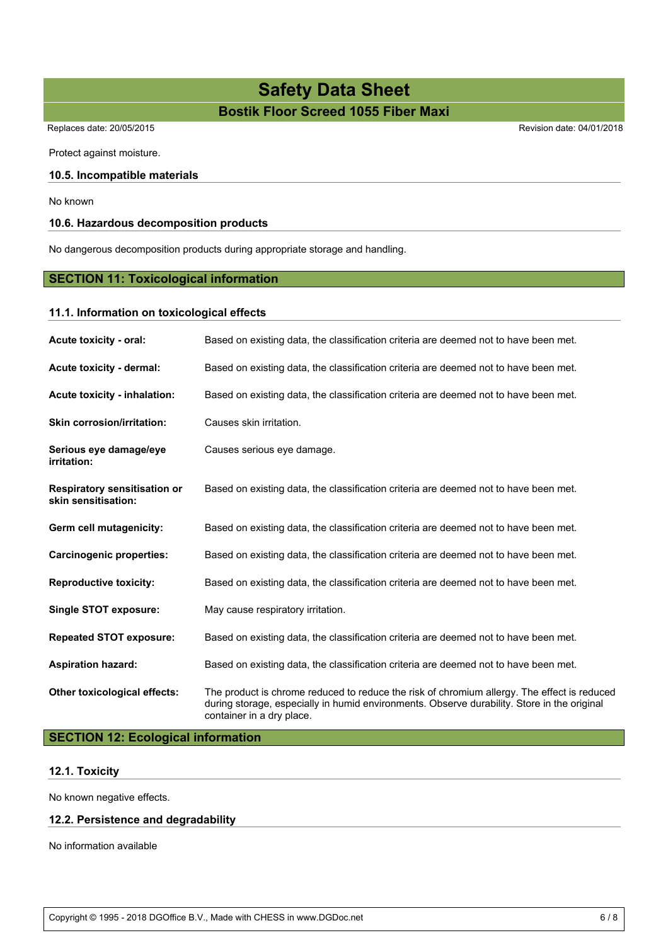Protect against moisture.

### **10.5. Incompatible materials**

No known

### **10.6. Hazardous decomposition products**

No dangerous decomposition products during appropriate storage and handling.

### **SECTION 11: Toxicological information**

### **11.1. Information on toxicological effects**

| Acute toxicity - oral:                                     | Based on existing data, the classification criteria are deemed not to have been met.                                                                                                                                    |
|------------------------------------------------------------|-------------------------------------------------------------------------------------------------------------------------------------------------------------------------------------------------------------------------|
| Acute toxicity - dermal:                                   | Based on existing data, the classification criteria are deemed not to have been met.                                                                                                                                    |
| Acute toxicity - inhalation:                               | Based on existing data, the classification criteria are deemed not to have been met.                                                                                                                                    |
| <b>Skin corrosion/irritation:</b>                          | Causes skin irritation.                                                                                                                                                                                                 |
| Serious eye damage/eye<br>irritation:                      | Causes serious eye damage.                                                                                                                                                                                              |
| <b>Respiratory sensitisation or</b><br>skin sensitisation: | Based on existing data, the classification criteria are deemed not to have been met.                                                                                                                                    |
| Germ cell mutagenicity:                                    | Based on existing data, the classification criteria are deemed not to have been met.                                                                                                                                    |
| <b>Carcinogenic properties:</b>                            | Based on existing data, the classification criteria are deemed not to have been met.                                                                                                                                    |
| <b>Reproductive toxicity:</b>                              | Based on existing data, the classification criteria are deemed not to have been met.                                                                                                                                    |
| <b>Single STOT exposure:</b>                               | May cause respiratory irritation.                                                                                                                                                                                       |
| <b>Repeated STOT exposure:</b>                             | Based on existing data, the classification criteria are deemed not to have been met.                                                                                                                                    |
| <b>Aspiration hazard:</b>                                  | Based on existing data, the classification criteria are deemed not to have been met.                                                                                                                                    |
| Other toxicological effects:                               | The product is chrome reduced to reduce the risk of chromium allergy. The effect is reduced<br>during storage, especially in humid environments. Observe durability. Store in the original<br>container in a dry place. |

### **SECTION 12: Ecological information**

### **12.1. Toxicity**

No known negative effects.

### **12.2. Persistence and degradability**

No information available

Replaces date: 20/05/2015 Revision date: 04/01/2018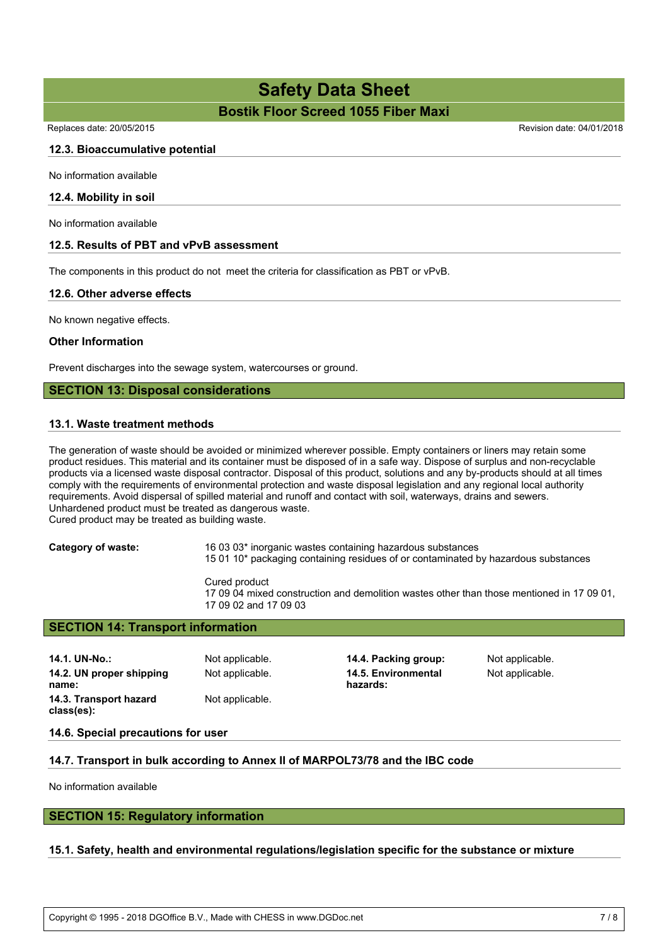Replaces date: 20/05/2015 **Replaces** date: 04/01/2018

### **12.3. Bioaccumulative potential**

No information available

### **12.4. Mobility in soil**

No information available

### **12.5. Results of PBT and vPvB assessment**

The components in this product do not meet the criteria for classification as PBT or vPvB.

### **12.6. Other adverse effects**

No known negative effects.

### **Other Information**

Prevent discharges into the sewage system, watercourses or ground.

### **SECTION 13: Disposal considerations**

### **13.1. Waste treatment methods**

The generation of waste should be avoided or minimized wherever possible. Empty containers or liners may retain some product residues. This material and its container must be disposed of in a safe way. Dispose of surplus and non-recyclable products via a licensed waste disposal contractor. Disposal of this product, solutions and any by-products should at all times comply with the requirements of environmental protection and waste disposal legislation and any regional local authority requirements. Avoid dispersal of spilled material and runoff and contact with soil, waterways, drains and sewers. Unhardened product must be treated as dangerous waste.

Cured product may be treated as building waste.

**Category of waste:** 16 03 03\* inorganic wastes containing hazardous substances 15 01 10\* packaging containing residues of or contaminated by hazardous substances

> Cured product 17 09 04 mixed construction and demolition wastes other than those mentioned in 17 09 01, 17 09 02 and 17 09 03

### **SECTION 14: Transport information**

**14.1. UN-No.:** Not applicable. **14.4. Packing group:** Not applicable. **14.2. UN proper shipping name:** Not applicable. **14.5. Environmental hazards:** Not applicable. **14.3. Transport hazard class(es):** Not applicable.

#### **14.6. Special precautions for user**

### **14.7. Transport in bulk according to Annex II of MARPOL73/78 and the IBC code**

No information available

### **SECTION 15: Regulatory information**

### **15.1. Safety, health and environmental regulations/legislation specific for the substance or mixture**

Copyright © 1995 - 2018 DGOffice B.V., Made with CHESS in www.DGDoc.net 7 / 8